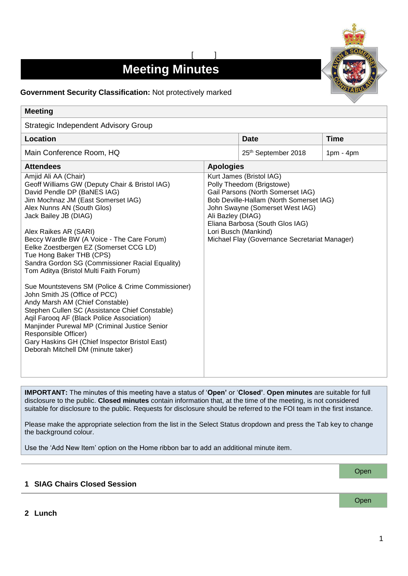# **Meeting Minutes**

[ ]



# **Government Security Classification:** Not protectively marked

| <b>Meeting</b>                                                                                                                                                                                                                                                                                                                                                                                                                                                                                                                                                                                                                                                                                                                                                                                                                        |                  |                                                                                                                                                                                                                                                                                                           |             |
|---------------------------------------------------------------------------------------------------------------------------------------------------------------------------------------------------------------------------------------------------------------------------------------------------------------------------------------------------------------------------------------------------------------------------------------------------------------------------------------------------------------------------------------------------------------------------------------------------------------------------------------------------------------------------------------------------------------------------------------------------------------------------------------------------------------------------------------|------------------|-----------------------------------------------------------------------------------------------------------------------------------------------------------------------------------------------------------------------------------------------------------------------------------------------------------|-------------|
| Strategic Independent Advisory Group                                                                                                                                                                                                                                                                                                                                                                                                                                                                                                                                                                                                                                                                                                                                                                                                  |                  |                                                                                                                                                                                                                                                                                                           |             |
| Location                                                                                                                                                                                                                                                                                                                                                                                                                                                                                                                                                                                                                                                                                                                                                                                                                              |                  | <b>Date</b>                                                                                                                                                                                                                                                                                               | <b>Time</b> |
| Main Conference Room, HQ                                                                                                                                                                                                                                                                                                                                                                                                                                                                                                                                                                                                                                                                                                                                                                                                              |                  | 25th September 2018                                                                                                                                                                                                                                                                                       | $1pm - 4pm$ |
| <b>Attendees</b>                                                                                                                                                                                                                                                                                                                                                                                                                                                                                                                                                                                                                                                                                                                                                                                                                      | <b>Apologies</b> |                                                                                                                                                                                                                                                                                                           |             |
| Amjid Ali AA (Chair)<br>Geoff Williams GW (Deputy Chair & Bristol IAG)<br>David Pendle DP (BaNES IAG)<br>Jim Mochnaz JM (East Somerset IAG)<br>Alex Nunns AN (South Glos)<br>Jack Bailey JB (DIAG)<br>Alex Raikes AR (SARI)<br>Beccy Wardle BW (A Voice - The Care Forum)<br>Eelke Zoestbergen EZ (Somerset CCG LD)<br>Tue Hong Baker THB (CPS)<br>Sandra Gordon SG (Commissioner Racial Equality)<br>Tom Aditya (Bristol Multi Faith Forum)<br>Sue Mountstevens SM (Police & Crime Commissioner)<br>John Smith JS (Office of PCC)<br>Andy Marsh AM (Chief Constable)<br>Stephen Cullen SC (Assistance Chief Constable)<br>Aqil Farooq AF (Black Police Association)<br>Manjinder Purewal MP (Criminal Justice Senior<br>Responsible Officer)<br>Gary Haskins GH (Chief Inspector Bristol East)<br>Deborah Mitchell DM (minute taker) |                  | Kurt James (Bristol IAG)<br>Polly Theedom (Brigstowe)<br>Gail Parsons (North Somerset IAG)<br>Bob Deville-Hallam (North Somerset IAG)<br>John Swayne (Somerset West IAG)<br>Ali Bazley (DIAG)<br>Eliana Barbosa (South Glos IAG)<br>Lori Busch (Mankind)<br>Michael Flay (Governance Secretariat Manager) |             |

**IMPORTANT:** The minutes of this meeting have a status of '**Open'** or '**Closed'**. **Open minutes** are suitable for full disclosure to the public. **Closed minutes** contain information that, at the time of the meeting, is not considered suitable for disclosure to the public. Requests for disclosure should be referred to the FOI team in the first instance.

Please make the appropriate selection from the list in the Select Status dropdown and press the Tab key to change the background colour.

Use the 'Add New Item' option on the Home ribbon bar to add an additional minute item.

### **1 SIAG Chairs Closed Session**

**Open** 

Open

**2 Lunch**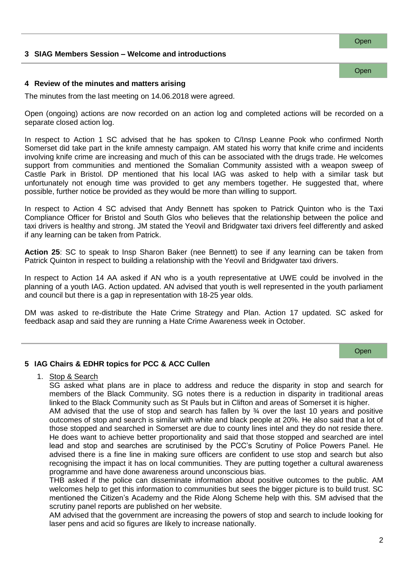# **3 SIAG Members Session – Welcome and introductions**

#### **4 Review of the minutes and matters arising**

The minutes from the last meeting on 14.06.2018 were agreed.

Open (ongoing) actions are now recorded on an action log and completed actions will be recorded on a separate closed action log.

In respect to Action 1 SC advised that he has spoken to C/Insp Leanne Pook who confirmed North Somerset did take part in the knife amnesty campaign. AM stated his worry that knife crime and incidents involving knife crime are increasing and much of this can be associated with the drugs trade. He welcomes support from communities and mentioned the Somalian Community assisted with a weapon sweep of Castle Park in Bristol. DP mentioned that his local IAG was asked to help with a similar task but unfortunately not enough time was provided to get any members together. He suggested that, where possible, further notice be provided as they would be more than willing to support.

In respect to Action 4 SC advised that Andy Bennett has spoken to Patrick Quinton who is the Taxi Compliance Officer for Bristol and South Glos who believes that the relationship between the police and taxi drivers is healthy and strong. JM stated the Yeovil and Bridgwater taxi drivers feel differently and asked if any learning can be taken from Patrick.

**Action 25**: SC to speak to Insp Sharon Baker (nee Bennett) to see if any learning can be taken from Patrick Quinton in respect to building a relationship with the Yeovil and Bridgwater taxi drivers.

In respect to Action 14 AA asked if AN who is a youth representative at UWE could be involved in the planning of a youth IAG. Action updated. AN advised that youth is well represented in the youth parliament and council but there is a gap in representation with 18-25 year olds.

DM was asked to re-distribute the Hate Crime Strategy and Plan. Action 17 updated. SC asked for feedback asap and said they are running a Hate Crime Awareness week in October.

**Open** 

### **5 IAG Chairs & EDHR topics for PCC & ACC Cullen**

1. Stop & Search

SG asked what plans are in place to address and reduce the disparity in stop and search for members of the Black Community. SG notes there is a reduction in disparity in traditional areas linked to the Black Community such as St Pauls but in Clifton and areas of Somerset it is higher.

AM advised that the use of stop and search has fallen by  $\frac{3}{4}$  over the last 10 years and positive outcomes of stop and search is similar with white and black people at 20%. He also said that a lot of those stopped and searched in Somerset are due to county lines intel and they do not reside there. He does want to achieve better proportionality and said that those stopped and searched are intel lead and stop and searches are scrutinised by the PCC's Scrutiny of Police Powers Panel. He advised there is a fine line in making sure officers are confident to use stop and search but also recognising the impact it has on local communities. They are putting together a cultural awareness programme and have done awareness around unconscious bias.

THB asked if the police can disseminate information about positive outcomes to the public. AM welcomes help to get this information to communities but sees the bigger picture is to build trust. SC mentioned the Citizen's Academy and the Ride Along Scheme help with this. SM advised that the scrutiny panel reports are published on her website.

AM advised that the government are increasing the powers of stop and search to include looking for laser pens and acid so figures are likely to increase nationally.

Open

**Open**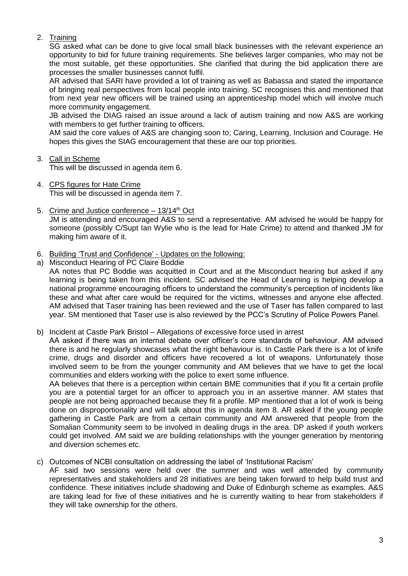# 2. Training

SG asked what can be done to give local small black businesses with the relevant experience an opportunity to bid for future training requirements. She believes larger companies, who may not be the most suitable, get these opportunities. She clarified that during the bid application there are processes the smaller businesses cannot fulfil.

AR advised that SARI have provided a lot of training as well as Babassa and stated the importance of bringing real perspectives from local people into training. SC recognises this and mentioned that from next year new officers will be trained using an apprenticeship model which will involve much more community engagement.

JB advised the DIAG raised an issue around a lack of autism training and now A&S are working with members to get further training to officers.

AM said the core values of A&S are changing soon to; Caring, Learning, Inclusion and Courage. He hopes this gives the SIAG encouragement that these are our top priorities.

### 3. Call in Scheme

This will be discussed in agenda item 6.

- 4. CPS figures for Hate Crime This will be discussed in agenda item 7.
- 5. Crime and Justice conference  $-13/14$ <sup>th</sup> Oct JM is attending and encouraged A&S to send a representative. AM advised he would be happy for someone (possibly C/Supt Ian Wylie who is the lead for Hate Crime) to attend and thanked JM for making him aware of it.
- 6. Building 'Trust and Confidence' Updates on the following:
- a) Misconduct Hearing of PC Claire Boddie

AA notes that PC Boddie was acquitted in Court and at the Misconduct hearing but asked if any learning is being taken from this incident. SC advised the Head of Learning is helping develop a national programme encouraging officers to understand the community's perception of incidents like these and what after care would be required for the victims, witnesses and anyone else affected. AM advised that Taser training has been reviewed and the use of Taser has fallen compared to last year. SM mentioned that Taser use is also reviewed by the PCC's Scrutiny of Police Powers Panel.

b) Incident at Castle Park Bristol – Allegations of excessive force used in arrest

AA asked if there was an internal debate over officer's core standards of behaviour. AM advised there is and he regularly showcases what the right behaviour is. In Castle Park there is a lot of knife crime, drugs and disorder and officers have recovered a lot of weapons. Unfortunately those involved seem to be from the younger community and AM believes that we have to get the local communities and elders working with the police to exert some influence.

AA believes that there is a perception within certain BME communities that if you fit a certain profile you are a potential target for an officer to approach you in an assertive manner. AM states that people are not being approached because they fit a profile. MP mentioned that a lot of work is being done on disproportionality and will talk about this in agenda item 8. AR asked if the young people gathering in Castle Park are from a certain community and AM answered that people from the Somalian Community seem to be involved in dealing drugs in the area. DP asked if youth workers could get involved. AM said we are building relationships with the younger generation by mentoring and diversion schemes etc.

c) Outcomes of NCBI consultation on addressing the label of 'Institutional Racism'

AF said two sessions were held over the summer and was well attended by community representatives and stakeholders and 28 initiatives are being taken forward to help build trust and confidence. These initiatives include shadowing and Duke of Edinburgh scheme as examples. A&S are taking lead for five of these initiatives and he is currently waiting to hear from stakeholders if they will take ownership for the others.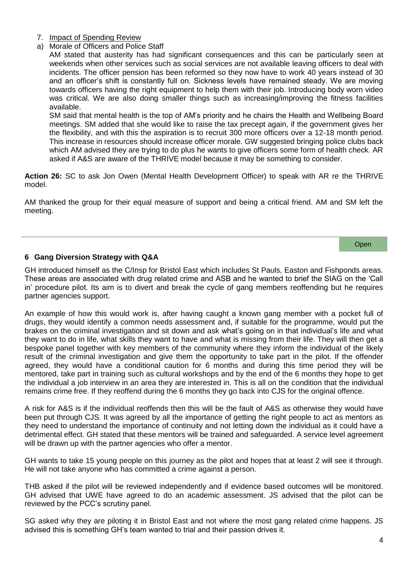- 7. Impact of Spending Review
- a) Morale of Officers and Police Staff

AM stated that austerity has had significant consequences and this can be particularly seen at weekends when other services such as social services are not available leaving officers to deal with incidents. The officer pension has been reformed so they now have to work 40 years instead of 30 and an officer's shift is constantly full on. Sickness levels have remained steady. We are moving towards officers having the right equipment to help them with their job. Introducing body worn video was critical. We are also doing smaller things such as increasing/improving the fitness facilities available.

SM said that mental health is the top of AM's priority and he chairs the Health and Wellbeing Board meetings. SM added that she would like to raise the tax precept again, if the government gives her the flexibility, and with this the aspiration is to recruit 300 more officers over a 12-18 month period. This increase in resources should increase officer morale. GW suggested bringing police clubs back which AM advised they are trying to do plus he wants to give officers some form of health check. AR asked if A&S are aware of the THRIVE model because it may be something to consider.

**Action 26:** SC to ask Jon Owen (Mental Health Development Officer) to speak with AR re the THRIVE model.

AM thanked the group for their equal measure of support and being a critical friend. AM and SM left the meeting.

**Open** 

# **6 Gang Diversion Strategy with Q&A**

GH introduced himself as the C/Insp for Bristol East which includes St Pauls, Easton and Fishponds areas. These areas are associated with drug related crime and ASB and he wanted to brief the SIAG on the 'Call in' procedure pilot. Its aim is to divert and break the cycle of gang members reoffending but he requires partner agencies support.

An example of how this would work is, after having caught a known gang member with a pocket full of drugs, they would identify a common needs assessment and, if suitable for the programme, would put the brakes on the criminal investigation and sit down and ask what's going on in that individual's life and what they want to do in life, what skills they want to have and what is missing from their life. They will then get a bespoke panel together with key members of the community where they inform the individual of the likely result of the criminal investigation and give them the opportunity to take part in the pilot. If the offender agreed, they would have a conditional caution for 6 months and during this time period they will be mentored, take part in training such as cultural workshops and by the end of the 6 months they hope to get the individual a job interview in an area they are interested in. This is all on the condition that the individual remains crime free. If they reoffend during the 6 months they go back into CJS for the original offence.

A risk for A&S is if the individual reoffends then this will be the fault of A&S as otherwise they would have been put through CJS. It was agreed by all the importance of getting the right people to act as mentors as they need to understand the importance of continuity and not letting down the individual as it could have a detrimental effect. GH stated that these mentors will be trained and safeguarded. A service level agreement will be drawn up with the partner agencies who offer a mentor.

GH wants to take 15 young people on this journey as the pilot and hopes that at least 2 will see it through. He will not take anyone who has committed a crime against a person.

THB asked if the pilot will be reviewed independently and if evidence based outcomes will be monitored. GH advised that UWE have agreed to do an academic assessment. JS advised that the pilot can be reviewed by the PCC's scrutiny panel.

SG asked why they are piloting it in Bristol East and not where the most gang related crime happens. JS advised this is something GH's team wanted to trial and their passion drives it.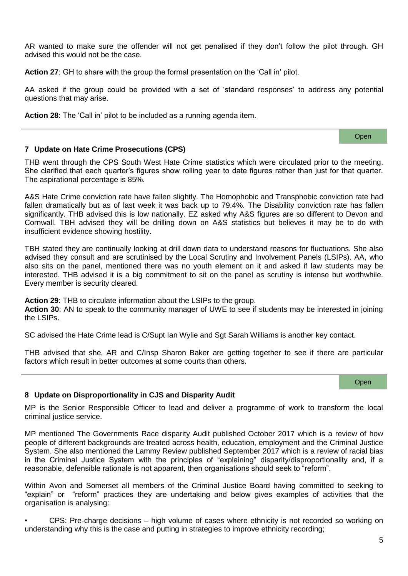AR wanted to make sure the offender will not get penalised if they don't follow the pilot through. GH advised this would not be the case.

**Action 27**: GH to share with the group the formal presentation on the 'Call in' pilot.

AA asked if the group could be provided with a set of 'standard responses' to address any potential questions that may arise.

**Action 28**: The 'Call in' pilot to be included as a running agenda item.

### **7 Update on Hate Crime Prosecutions (CPS)**

THB went through the CPS South West Hate Crime statistics which were circulated prior to the meeting. She clarified that each quarter's figures show rolling year to date figures rather than just for that quarter. The aspirational percentage is 85%.

A&S Hate Crime conviction rate have fallen slightly. The Homophobic and Transphobic conviction rate had fallen dramatically but as of last week it was back up to 79.4%. The Disability conviction rate has fallen significantly. THB advised this is low nationally. EZ asked why A&S figures are so different to Devon and Cornwall. TBH advised they will be drilling down on A&S statistics but believes it may be to do with insufficient evidence showing hostility.

TBH stated they are continually looking at drill down data to understand reasons for fluctuations. She also advised they consult and are scrutinised by the Local Scrutiny and Involvement Panels (LSIPs). AA, who also sits on the panel, mentioned there was no youth element on it and asked if law students may be interested. THB advised it is a big commitment to sit on the panel as scrutiny is intense but worthwhile. Every member is security cleared.

**Action 29**: THB to circulate information about the LSIPs to the group.

**Action 30**: AN to speak to the community manager of UWE to see if students may be interested in joining the LSIPs.

SC advised the Hate Crime lead is C/Supt Ian Wylie and Sgt Sarah Williams is another key contact.

THB advised that she, AR and C/Insp Sharon Baker are getting together to see if there are particular factors which result in better outcomes at some courts than others.

#### **Open**

### **8 Update on Disproportionality in CJS and Disparity Audit**

MP is the Senior Responsible Officer to lead and deliver a programme of work to transform the local criminal justice service.

MP mentioned The Governments Race disparity Audit published October 2017 which is a review of how people of different backgrounds are treated across health, education, employment and the Criminal Justice System. She also mentioned the Lammy Review published September 2017 which is a review of racial bias in the Criminal Justice System with the principles of "explaining" disparity/disproportionality and, if a reasonable, defensible rationale is not apparent, then organisations should seek to "reform".

Within Avon and Somerset all members of the Criminal Justice Board having committed to seeking to "explain" or "reform" practices they are undertaking and below gives examples of activities that the organisation is analysing:

• CPS: Pre-charge decisions – high volume of cases where ethnicity is not recorded so working on understanding why this is the case and putting in strategies to improve ethnicity recording;

Open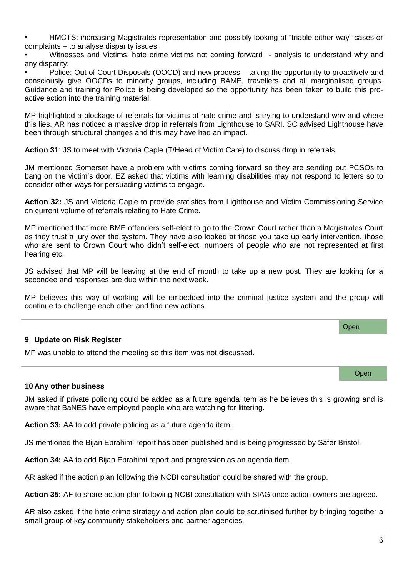• HMCTS: increasing Magistrates representation and possibly looking at "triable either way" cases or complaints – to analyse disparity issues;

• Witnesses and Victims: hate crime victims not coming forward - analysis to understand why and any disparity;

• Police: Out of Court Disposals (OOCD) and new process – taking the opportunity to proactively and consciously give OOCDs to minority groups, including BAME, travellers and all marginalised groups. Guidance and training for Police is being developed so the opportunity has been taken to build this proactive action into the training material.

MP highlighted a blockage of referrals for victims of hate crime and is trying to understand why and where this lies. AR has noticed a massive drop in referrals from Lighthouse to SARI. SC advised Lighthouse have been through structural changes and this may have had an impact.

**Action 31**: JS to meet with Victoria Caple (T/Head of Victim Care) to discuss drop in referrals.

JM mentioned Somerset have a problem with victims coming forward so they are sending out PCSOs to bang on the victim's door. EZ asked that victims with learning disabilities may not respond to letters so to consider other ways for persuading victims to engage.

**Action 32:** JS and Victoria Caple to provide statistics from Lighthouse and Victim Commissioning Service on current volume of referrals relating to Hate Crime.

MP mentioned that more BME offenders self-elect to go to the Crown Court rather than a Magistrates Court as they trust a jury over the system. They have also looked at those you take up early intervention, those who are sent to Crown Court who didn't self-elect, numbers of people who are not represented at first hearing etc.

JS advised that MP will be leaving at the end of month to take up a new post. They are looking for a secondee and responses are due within the next week.

MP believes this way of working will be embedded into the criminal justice system and the group will continue to challenge each other and find new actions.

# **9 Update on Risk Register**

MF was unable to attend the meeting so this item was not discussed.

### **10 Any other business**

JM asked if private policing could be added as a future agenda item as he believes this is growing and is aware that BaNES have employed people who are watching for littering.

**Action 33:** AA to add private policing as a future agenda item.

JS mentioned the Bijan Ebrahimi report has been published and is being progressed by Safer Bristol.

**Action 34:** AA to add Bijan Ebrahimi report and progression as an agenda item.

AR asked if the action plan following the NCBI consultation could be shared with the group.

**Action 35:** AF to share action plan following NCBI consultation with SIAG once action owners are agreed.

AR also asked if the hate crime strategy and action plan could be scrutinised further by bringing together a small group of key community stakeholders and partner agencies.

**Open** 

Open